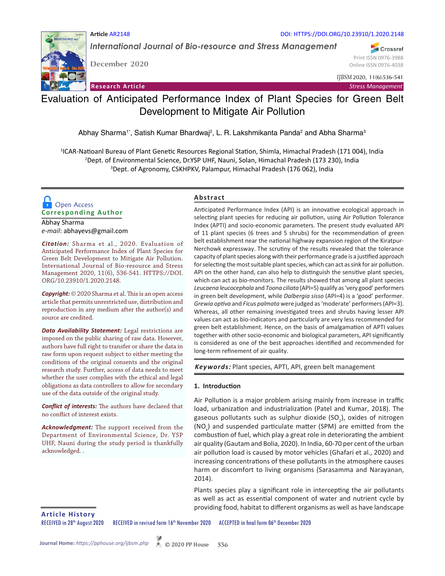*International Journal of Bio-resource and Stress Management*

Volume 11 II Issue 6 II Dec 2020

**December 2020**

DOI: HTTPS://DOI.ORG/10.23910/1.2020.2148

Crossref Print ISSN 0976-3988 Online ISSN 0976-4038

*IJBSM* 2020, 11(6):536-541

**Research Article** *Stress Management*

# Evaluation of Anticipated Performance Index of Plant Species for Green Belt Development to Mitigate Air Pollution

Abhay Sharma<sup>1</sup>', Satish Kumar Bhardwaj<sup>2</sup>, L. R. Lakshmikanta Panda<sup>2</sup> and Abha Sharma<sup>3</sup>

1 ICAR-Natioanl Bureau of Plant Genetic Resources Regional Station, Shimla, Himachal Pradesh (171 004), India 2 Dept. of Environmental Science, Dr.YSP UHF, Nauni, Solan, Himachal Pradesh (173 230), India 3 Dept. of Agronomy, CSKHPKV, Palampur, Himachal Pradesh (176 062), India

## **Corresponding Author**  Open Access

Abhay Sharma *e-mail*: abhayevs@gmail.com

*Citation:* Sharma et al., 2020. Evaluation of Anticipated Performance Index of Plant Species for Green Belt Development to Mitigate Air Pollution. International Journal of Bio-resource and Stress Management 2020, 11(6), 536-541. HTTPS://DOI. ORG/10.23910/1.2020.2148.

*Copyright:* © 2020 Sharma et al. This is an open access article that permits unrestricted use, distribution and reproduction in any medium after the author(s) and source are credited.

*Data Availability Statement:* Legal restrictions are imposed on the public sharing of raw data. However, authors have full right to transfer or share the data in raw form upon request subject to either meeting the conditions of the original consents and the original research study. Further, access of data needs to meet whether the user complies with the ethical and legal obligations as data controllers to allow for secondary use of the data outside of the original study.

*Conflict of interests:* The authors have declared that no conflict of interest exists.

*Acknowledgment:* The support received from the Department of Environmental Science, Dr. YSP UHF, Nauni during the study period is thankfully acknowledged. .

## **Abstract**

Anticipated Performance Index (API) is an innovative ecological approach in selecting plant species for reducing air pollution, using Air Pollution Tolerance Index (APTI) and socio-economic parameters. The present study evaluated API of 11 plant species (6 trees and 5 shrubs) for the recommendation of green belt establishment near the national highway expansion region of the Kiratpur-Nerchowk expressway. The scrutiny of the results revealed that the tolerance capacity of plant species along with their performance grade is a justified approach for selecting the most suitable plant species, which can act as sink for air pollution. API on the other hand, can also help to distinguish the sensitive plant species, which can act as bio-monitors. The results showed that among all plant species *Leucaena leucocephala* and *Toona ciliata* (API=5) qualify as 'very good' performers in green belt development, while *Dalbergia sisso* (API=4) is a 'good' performer. *Grewia optiva* and *Ficus palmata* were judged as 'moderate' performers (API=3). Whereas, all other remaining investigated trees and shrubs having lesser API values can act as bio-indicators and particularly are very less recommended for green belt establishment. Hence, on the basis of amalgamation of APTI values together with other socio-economic and biological parameters, API significantly is considered as one of the best approaches identified and recommended for long-term refinement of air quality.

*Keywords:* Plant species, APTI, API, green belt management

## **1. Introduction**

Air Pollution is a major problem arising mainly from increase in traffic load, urbanization and industrialization (Patel and Kumar, 2018). The gaseous pollutants such as sulphur dioxide (SO<sub>2</sub>), oxides of nitrogen (NO<sub>x</sub>) and suspended particulate matter (SPM) are emitted from the combustion of fuel, which play a great role in deteriorating the ambient air quality (Gautam and Bolia, 2020). In India, 60-70 per cent of the urban air pollution load is caused by motor vehicles (Ghafari et al., 2020) and increasing concentrations of these pollutants in the atmosphere causes harm or discomfort to living organisms (Sarasamma and Narayanan, 2014).

Plants species play a significant role in intercepting the air pollutants as well as act as essential component of water and nutrient cycle by providing food, habitat to different organisms as well as have landscape

**Article History**

RECEIVED in 28<sup>th</sup> August 2020 RECEIVED in revised form 16<sup>th</sup> November 2020 ACCEPTED in final form 06<sup>th</sup> December 2020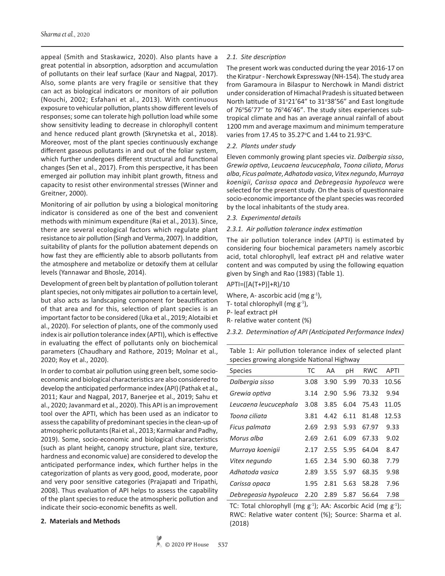appeal (Smith and Staskawicz, 2020). Also plants have a great potential in absorption, adsorption and accumulation of pollutants on their leaf surface (Kaur and Nagpal, 2017). Also, some plants are very fragile or sensitive that they can act as biological indicators or monitors of air pollution (Nouchi, 2002; Esfahani et al., 2013). With continuous exposure to vehicular pollution, plants show different levels of responses; some can tolerate high pollution load while some show sensitivity leading to decrease in chlorophyll content and hence reduced plant growth (Skrynetska et al., 2018). Moreover, most of the plant species continuously exchange different gaseous pollutants in and out of the foliar system, which further undergoes different structural and functional changes (Sen et al., 2017). From this perspective, it has been emerged air pollution may inhibit plant growth, fitness and capacity to resist other environmental stresses (Winner and Greitner, 2000).

Monitoring of air pollution by using a biological monitoring indicator is considered as one of the best and convenient methods with minimum expenditure (Rai et al., 2013). Since, there are several ecological factors which regulate plant resistance to air pollution (Singh and Verma, 2007). In addition, suitability of plants for the pollution abatement depends on how fast they are efficiently able to absorb pollutants from the atmosphere and metabolize or detoxify them at cellular levels (Yannawar and Bhosle, 2014).

Development of green belt by plantation of pollution tolerant plant species, not only mitigates air pollution to a certain level, but also acts as landscaping component for beautification of that area and for this, selection of plant species is an important factor to be considered (Uka et al., 2019; Alotaibi et al., 2020). For selection of plants, one of the commonly used index is air pollution tolerance index (APTI), which is effective in evaluating the effect of pollutants only on biochemical parameters (Chaudhary and Rathore, 2019; Molnar et al., 2020; Roy et al., 2020).

In order to combat air pollution using green belt, some socioeconomic and biological characteristics are also considered to develop the anticipated performance index (API) (Pathak et al., 2011; Kaur and Nagpal, 2017, Banerjee et al., 2019; Sahu et al., 2020; Javanmard et al., 2020). This API is an improvement tool over the APTI, which has been used as an indicator to assess the capability of predominant species in the clean-up of atmospheric pollutants (Rai et al., 2013; Karmakar and Padhy, 2019). Some, socio-economic and biological characteristics (such as plant height, canopy structure, plant size, texture, hardness and economic value) are considered to develop the anticipated performance index, which further helps in the categorization of plants as very good, good, moderate, poor and very poor sensitive categories (Prajapati and Tripathi, 2008). Thus evaluation of API helps to assess the capability of the plant species to reduce the atmospheric pollution and indicate their socio-economic benefits as well.

#### **2. Materials and Methods**

#### *2.1. Site description*

The present work was conducted during the year 2016-17 on the Kiratpur - Nerchowk Expressway (NH-154). The study area from Garamoura in Bilaspur to Nerchowk in Mandi district under consideration of Himachal Pradesh is situated between North latitude of 31°21'64" to 31°38'56" and East longitude of 76°56'77" to 76°46'46". The study sites experiences subtropical climate and has an average annual rainfall of about 1200 mm and average maximum and minimum temperature varies from 17.45 to 35.27°C and 1.44 to 21.93°C.

#### *2.2. Plants under study*

Eleven commonly growing plant species viz. *Dalbergia sisso*, *Grewia optiva*, *Leucaena leucucephala*, *Toona ciliata*, *Morus alba*, *Ficus palmate*, *Adhatoda vasica*, *Vitex negundo*, *Murraya koenigii*, *Carissa opaca* and *Debregeasia hypoleuca* were selected for the present study. On the basis of questionnaire socio-economic importance of the plant species was recorded by the local inhabitants of the study area.

#### *2.3. Experimental details*

#### *2.3.1. Air pollution tolerance index estimation*

The air pollution tolerance index (APTI) is estimated by considering four biochemical parameters namely ascorbic acid, total chlorophyll, leaf extract pH and relative water content and was computed by using the following equation given by Singh and Rao (1983) (Table 1).

## APTI=([A(T+P)]+R)/10

Where, A- ascorbic acid (mg  $g^{-1}$ ),

- T- total chlorophyll (mg  $g^{-1}$ ),
- P- leaf extract pH
- R- relative water content (%)

*2.3.2. Determination of API (Anticipated Performance Index)* 

Table 1: Air pollution tolerance index of selected plant species growing alongside National Highway

| <b>Species</b>        | ТC   | AA   | pH   | <b>RWC</b> | APTI  |
|-----------------------|------|------|------|------------|-------|
| Dalbergia sisso       | 3.08 | 3.90 | 5.99 | 70.33      | 10.56 |
| Grewia optiva         | 3.14 | 2.90 | 5.96 | 73.32      | 9.94  |
| Leucaena leucucephala | 3.08 | 3.85 | 6.04 | 75.43      | 11.05 |
| Toona ciliata         | 3.81 | 4.42 | 6.11 | 81.48      | 12.53 |
| Ficus palmata         | 2.69 | 2.93 | 5.93 | 67.97      | 9.33  |
| Morus alba            | 2.69 | 2.61 | 6.09 | 67.33      | 9.02  |
| Murraya koenigii      | 2.17 | 2.55 | 5.95 | 64.04      | 8.47  |
| Vitex negundo         | 1.65 | 2.34 | 5.90 | 60.38      | 7.79  |
| Adhatoda vasica       | 2.89 | 3.55 | 5.97 | 68.35      | 9.98  |
| Carissa opaca         | 1.95 | 2.81 | 5.63 | 58.28      | 7.96  |
| Debregeasia hypoleuca | 2.20 | 2.89 | 5.87 | 56.64      | 7.98  |

TC: Total chlorophyll (mg  $g^{-1}$ ); AA: Ascorbic Acid (mg  $g^{-1}$ ); RWC: Relative water content (%); Source: Sharma et al. (2018)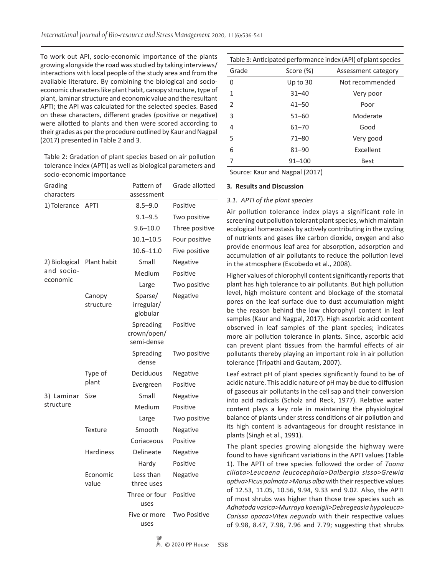To work out API, socio-economic importance of the plants growing alongside the road was studied by taking interviews/ interactions with local people of the study area and from the available literature. By combining the biological and socioeconomic characters like plant habit, canopy structure, type of plant, laminar structure and economic value and the resultant APTI; the API was calculated for the selected species. Based on these characters, different grades (positive or negative) were allotted to plants and then were scored according to their grades as per the procedure outlined by Kaur and Nagpal (2017) presented in Table 2 and 3.

Table 2: Gradation of plant species based on air pollution tolerance index (APTI) as well as biological parameters and socio-economic importance

| Grading<br>characters |                     | Pattern of<br>assessment               | Grade allotted |  |  |
|-----------------------|---------------------|----------------------------------------|----------------|--|--|
| 1) Tolerance          | <b>APTI</b>         | $8.5 - 9.0$                            | Positive       |  |  |
|                       |                     | $9.1 - 9.5$                            | Two positive   |  |  |
|                       |                     | $9.6 - 10.0$                           | Three positive |  |  |
|                       |                     | $10.1 - 10.5$                          | Four positive  |  |  |
|                       |                     | $10.6 - 11.0$                          | Five positive  |  |  |
| 2) Biological         | Plant habit         | Small                                  | Negative       |  |  |
| and socio-            |                     | Medium                                 | Positive       |  |  |
| economic              |                     | Large                                  | Two positive   |  |  |
|                       | Canopy<br>structure | Sparse/<br>irregular/<br>globular      | Negative       |  |  |
|                       |                     | Spreading<br>crown/open/<br>semi-dense | Positive       |  |  |
|                       |                     | Spreading<br>dense                     | Two positive   |  |  |
|                       | Type of             | Deciduous                              | Negative       |  |  |
|                       | plant               | Evergreen                              | Positive       |  |  |
| 3) Laminar            | Size                | Small                                  | Negative       |  |  |
| structure             |                     | Medium                                 | Positive       |  |  |
|                       |                     | Large                                  | Two positive   |  |  |
|                       | Texture             | Smooth                                 | Negative       |  |  |
|                       |                     | Coriaceous                             | Positive       |  |  |
|                       | <b>Hardiness</b>    | Delineate                              | Negative       |  |  |
|                       |                     | Hardy                                  | Positive       |  |  |
|                       | Economic<br>value   | Less than<br>three uses                | Negative       |  |  |
|                       |                     | Three or four<br>uses                  | Positive       |  |  |
|                       |                     | Five or more<br>uses                   | Two Positive   |  |  |

| Table 3: Anticipated performance index (API) of plant species |            |                 |  |  |  |
|---------------------------------------------------------------|------------|-----------------|--|--|--|
| Grade<br>Score (%)<br>Assessment category                     |            |                 |  |  |  |
| 0                                                             | Up to $30$ | Not recommended |  |  |  |
| 1                                                             | $31 - 40$  | Very poor       |  |  |  |
| $\mathcal{P}$                                                 | $41 - 50$  | Poor            |  |  |  |
| 3                                                             | $51 - 60$  | Moderate        |  |  |  |
| 4                                                             | $61 - 70$  | Good            |  |  |  |
| 5                                                             | $71 - 80$  | Very good       |  |  |  |
| 6                                                             | $81 - 90$  | Excellent       |  |  |  |
|                                                               | $91 - 100$ | <b>Best</b>     |  |  |  |

Source: Kaur and Nagpal (2017)

### **3***.* **Results and Discussion**

## *3.1. APTI of the plant species*

Air pollution tolerance index plays a significant role in screening out pollution tolerant plant species, which maintain ecological homeostasis by actively contributing in the cycling of nutrients and gases like carbon dioxide, oxygen and also provide enormous leaf area for absorption, adsorption and accumulation of air pollutants to reduce the pollution level in the atmosphere (Escobedo et al., 2008).

Higher values of chlorophyll content significantly reports that plant has high tolerance to air pollutants. But high pollution level, high moisture content and blockage of the stomatal pores on the leaf surface due to dust accumulation might be the reason behind the low chlorophyll content in leaf samples (Kaur and Nagpal, 2017). High ascorbic acid content observed in leaf samples of the plant species; indicates more air pollution tolerance in plants. Since, ascorbic acid can prevent plant tissues from the harmful effects of air pollutants thereby playing an important role in air pollution tolerance (Tripathi and Gautam, 2007).

Leaf extract pH of plant species significantly found to be of acidic nature. This acidic nature of pH may be due to diffusion of gaseous air pollutants in the cell sap and their conversion into acid radicals (Scholz and Reck, 1977). Relative water content plays a key role in maintaining the physiological balance of plants under stress conditions of air pollution and its high content is advantageous for drought resistance in plants (Singh et al., 1991).

The plant species growing alongside the highway were found to have significant variations in the APTI values (Table 1). The APTI of tree species followed the order of *Toona ciliata>Leucaena leucocephala>Dalbergia sisso>Grewia optiva>Ficus palmata >Morus alba* with their respective values of 12.53, 11.05, 10.56, 9.94, 9.33 and 9.02. Also, the APTI of most shrubs was higher than those tree species such as *Adhatoda vasica>Murraya koenigii>Debregeasia hypoleuca> Carissa opaca>Vitex negundo* with their respective values of 9.98, 8.47, 7.98, 7.96 and 7.79; suggesting that shrubs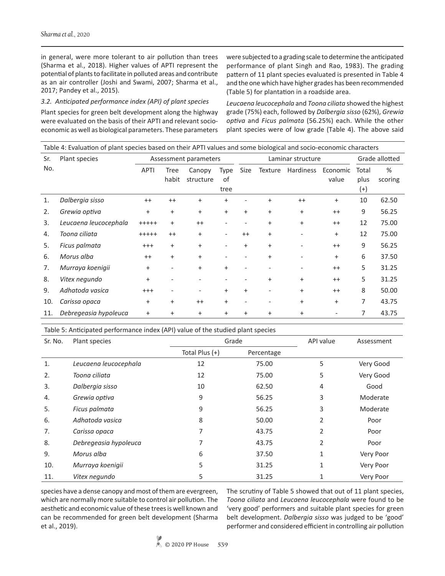in general, were more tolerant to air pollution than trees (Sharma et al., 2018). Higher values of APTI represent the potential of plants to facilitate in polluted areas and contribute as an air controller (Joshi and Swami, 2007; Sharma et al., 2017; Pandey et al., 2015).

#### *3.2. Anticipated performance index (API) of plant species*

Plant species for green belt development along the highway were evaluated on the basis of their APTI and relevant socioeconomic as well as biological parameters. These parameters were subjected to a grading scale to determine the anticipated performance of plant Singh and Rao, 1983). The grading pattern of 11 plant species evaluated is presented in Table 4 and the one which have higher grades has been recommended (Table 5) for plantation in a roadside area.

*Leucaena leucocephala* and *Toona ciliata* showed the highest grade (75%) each, followed by *Dalbergia sisso* (62%), *Grewia optiva* and *Ficus palmata* (56.25%) each. While the other plant species were of low grade (Table 4). The above said

| Table 4: Evaluation of plant species based on their APTI values and some biological and socio-economic characters |                       |             |                      |                       |                    |           |                   |           |                   |                           |              |
|-------------------------------------------------------------------------------------------------------------------|-----------------------|-------------|----------------------|-----------------------|--------------------|-----------|-------------------|-----------|-------------------|---------------------------|--------------|
| Sr.                                                                                                               | Plant species         |             |                      | Assessment parameters |                    |           | Laminar structure |           | Grade allotted    |                           |              |
| No.                                                                                                               |                       | <b>APTI</b> | <b>Tree</b><br>habit | Canopy<br>structure   | Type<br>of<br>tree | Size      | Texture           | Hardiness | Economic<br>value | Total<br>plus<br>$^{(+)}$ | %<br>scoring |
| 1.                                                                                                                | Dalbergia sisso       | $++$        | $++$                 | $\ddot{}$             | $^{+}$             |           | $\overline{+}$    | $++$      | $+$               | 10                        | 62.50        |
| 2.                                                                                                                | Grewia optiva         | $+$         | $+$                  | $\ddot{}$             | $+$                | $+$       | $+$               | $+$       | $^{++}$           | 9                         | 56.25        |
| 3.                                                                                                                | Leucaena leucocephala | $+++++$     | $+$                  | $^{++}$               |                    |           | $+$               | $\ddot{}$ | $^{++}$           | 12                        | 75.00        |
| 4.                                                                                                                | Toona ciliata         | $+++++$     | $++$                 | $\ddot{}$             |                    | $++$      | $+$               |           | $\ddot{}$         | 12                        | 75.00        |
| 5.                                                                                                                | Ficus palmata         | $^{+++}$    | $+$                  | $+$                   |                    | $+$       | $+$               |           | $++$              | 9                         | 56.25        |
| 6.                                                                                                                | Morus alba            | $++$        | $+$                  | $+$                   |                    |           | $\overline{+}$    |           | $+$               | 6                         | 37.50        |
| 7.                                                                                                                | Murraya koenigii      | $+$         |                      | $\ddot{}$             | $+$                |           |                   |           | $++$              | 5                         | 31.25        |
| 8.                                                                                                                | Vitex negundo         | $+$         |                      |                       |                    |           | $\overline{+}$    | $\ddot{}$ | $++$              | 5                         | 31.25        |
| 9.                                                                                                                | Adhatoda vasica       | $^{+++}$    |                      |                       | $^{+}$             | $+$       |                   | $\ddot{}$ | $++$              | 8                         | 50.00        |
| 10.                                                                                                               | Carissa opaca         | $+$         | $^{+}$               | $++$                  | $+$                |           |                   | $+$       | $+$               | 7                         | 43.75        |
| 11.                                                                                                               | Debregeasia hypoleuca | $\ddot{}$   | $\ddot{}$            | $\ddot{}$             | $\ddot{}$          | $\ddot{}$ | $\overline{+}$    | $\ddot{}$ |                   | 7                         | 43.75        |

Table 5: Anticipated performance index (API) value of the studied plant species

| Sr. No. | Plant species         | Grade            |            | API value | Assessment |
|---------|-----------------------|------------------|------------|-----------|------------|
|         |                       | Total Plus $(+)$ | Percentage |           |            |
| 1.      | Leucaena leucocephala | 12               | 75.00      | 5         | Very Good  |
| 2.      | Toona ciliata         | 12               | 75.00      | 5         | Very Good  |
| 3.      | Dalbergia sisso       | 10               | 62.50      | 4         | Good       |
| 4.      | Grewia optiva         | 9                | 56.25      | 3         | Moderate   |
| 5.      | Ficus palmata         | 9                | 56.25      | 3         | Moderate   |
| 6.      | Adhatoda vasica       | 8                | 50.00      | 2         | Poor       |
| 7.      | Carissa opaca         | 7                | 43.75      | 2         | Poor       |
| 8.      | Debregeasia hypoleuca | 7                | 43.75      | 2         | Poor       |
| 9.      | Morus alba            | 6                | 37.50      | 1         | Very Poor  |
| 10.     | Murraya koenigii      | 5                | 31.25      | 1         | Very Poor  |
| 11.     | Vitex negundo         | 5                | 31.25      |           | Very Poor  |

species have a dense canopy and most of them are evergreen, which are normally more suitable to control air pollution. The aesthetic and economic value of these trees is well known and can be recommended for green belt development (Sharma et al., 2019).

The scrutiny of Table 5 showed that out of 11 plant species, *Toona ciliata* and *Leucaena leucocephala* were found to be 'very good' performers and suitable plant species for green belt development. *Dalbergia sisso* was judged to be 'good' performer and considered efficient in controlling air pollution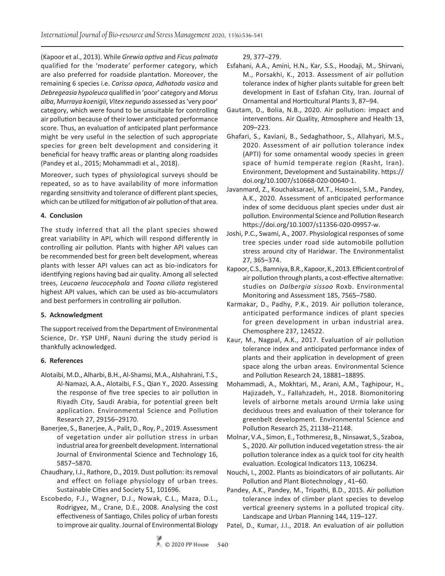(Kapoor et al., 2013). While *Grewia optiva* and *Ficus palmata* qualified for the 'moderate' performer category, which are also preferred for roadside plantation. Moreover, the remaining 6 species i.e. *Carissa opaca*, *Adhatoda vasica* and *Debregeasia hypoleuca* qualified in 'poor' category and *Morus alba*, *Murraya koenigii*, *Vitex negundo* assessed as 'very poor' category, which were found to be unsuitable for controlling air pollution because of their lower anticipated performance score. Thus, an evaluation of anticipated plant performance might be very useful in the selection of such appropriate species for green belt development and considering it beneficial for heavy traffic areas or planting along roadsides (Pandey et al., 2015; Mohammadi et al., 2018).

Moreover, such types of physiological surveys should be repeated, so as to have availability of more information regarding sensitivity and tolerance of different plant species, which can be utilized for mitigation of air pollution of that area.

## **4. Conclusion**

The study inferred that all the plant species showed great variability in API, which will respond differently in controlling air pollution. Plants with higher API values can be recommended best for green belt development, whereas plants with lesser API values can act as bio-indicators for identifying regions having bad air quality. Among all selected trees, *Leucaena leucocephala* and *Toona ciliata* registered highest API values, which can be used as bio-accumulators and best performers in controlling air pollution.

## **5. Acknowledgment**

The support received from the Department of Environmental Science, Dr. YSP UHF, Nauni during the study period is thankfully acknowledged.

## **6. References**

- Alotaibi, M.D., Alharbi, B.H., Al-Shamsi, M.A., Alshahrani, T.S., Al-Namazi, A.A., Alotaibi, F.S., Qian Y., 2020. Assessing the response of five tree species to air pollution in Riyadh City, Saudi Arabia, for potential green belt application. Environmental Science and Pollution Research 27, 29156–29170.
- Banerjee, S., Banerjee, A., Palit, D., Roy, P., 2019. Assessment of vegetation under air pollution stress in urban industrial area for greenbelt development. International Journal of Environmental Science and Technology 16, 5857–5870.
- Chaudhary, I.J., Rathore, D., 2019. Dust pollution: its removal and effect on foliage physiology of urban trees. Sustainable Cities and Society 51, 101696.
- Escobedo, F.J., Wagner, D.J., Nowak, C.L., Maza, D.L., Rodrigyez, M., Crane, D.E., 2008. Analysing the cost effectiveness of Santiago, Chiles policy of urban forests to improve air quality. Journal of Environmental Biology

29, 377–279.

- Esfahani, A.A., Amini, H.N., Kar, S.S., Hoodaji, M., Shirvani, M., Porsakhi, K., 2013. Assessment of air pollution tolerance index of higher plants suitable for green belt development in East of Esfahan City, Iran. Journal of Ornamental and Horticultural Plants 3, 87–94.
- Gautam, D., Bolia, N.B., 2020. Air pollution: impact and interventions. Air Quality, Atmosphere and Health 13, 209–223.
- Ghafari, S., Kaviani, B., Sedaghathoor, S., Allahyari, M.S., 2020. Assessment of air pollution tolerance index (APTI) for some ornamental woody species in green space of humid temperate region (Rasht, Iran). Environment, Development and Sustainability. https:// doi.org/10.1007/s10668-020-00640-1.
- Javanmard, Z., Kouchaksaraei, M.T., Hosseini, S.M., Pandey, A.K., 2020. Assessment of anticipated performance index of some deciduous plant species under dust air pollution. Environmental Science and Pollution Research https://doi.org/10.1007/s11356-020-09957-w.
- Joshi, P.C., Swami, A., 2007. Physiological responses of some tree species under road side automobile pollution stress around city of Haridwar. The Environmentalist 27, 365–374.
- Kapoor, C.S., Bamniya, B.R., Kapoor, K., 2013. Efficient control of air pollution through plants, a cost-effective alternative: studies on *Dalbergia sissoo* Roxb. Environmental Monitoring and Assessment 185, 7565–7580.
- Karmakar, D., Padhy, P.K., 2019. Air pollution tolerance, anticipated performance indices of plant species for green development in urban industrial area. Chemosphere 237, 124522.
- Kaur, M., Nagpal, A.K., 2017. Evaluation of air pollution tolerance index and anticipated performance index of plants and their application in development of green space along the urban areas. Environmental Science and Pollution Research 24, 18881–18895.
- Mohammadi, A., Mokhtari, M., Arani, A.M., Taghipour, H., Hajizadeh, Y., Fallahzadeh, H., 2018. Biomonitoring levels of airborne metals around Urmia lake using deciduous trees and evaluation of their tolerance for greenbelt development. Environmental Science and Pollution Research 25, 21138–21148.
- Molnar, V.A., Simon, E., Tothmeresz, B., Ninsawat, S., Szaboa, S., 2020. Air pollution induced vegetation stress- the air pollution tolerance index as a quick tool for city health evaluation. Ecological Indicators 113, 106234.
- Nouchi, I., 2002. Plants as bioindicators of air pollutants. Air Pollution and Plant Biotechnology , 41–60.
- Pandey, A.K., Pandey, M., Tripathi, B.D., 2015. Air pollution tolerance index of climber plant species to develop vertical greenery systems in a polluted tropical city. Landscape and Urban Planning 144, 119–127.
- Patel, D., Kumar, J.I., 2018. An evaluation of air pollution